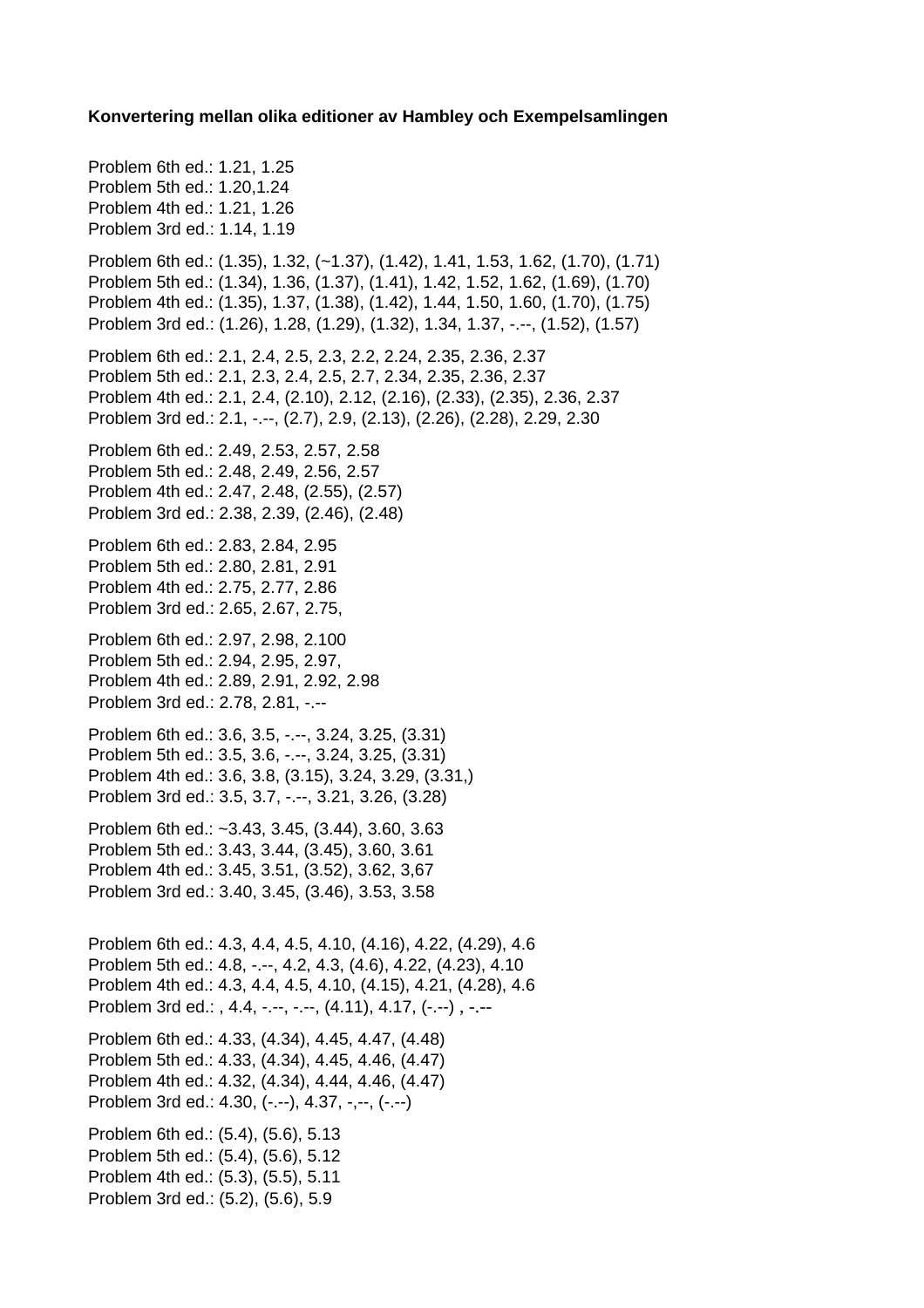**Konvertering mellan olika editioner av Hambley och Exempelsamlingen**

Problem 6th ed.: 1.21, 1.25 Problem 5th ed.: 1.20,1.24 Problem 4th ed.: 1.21, 1.26 Problem 3rd ed.: 1.14, 1.19 Problem 6th ed.: (1.35), 1.32, (~1.37), (1.42), 1.41, 1.53, 1.62, (1.70), (1.71) Problem 5th ed.: (1.34), 1.36, (1.37), (1.41), 1.42, 1.52, 1.62, (1.69), (1.70) Problem 4th ed.: (1.35), 1.37, (1.38), (1.42), 1.44, 1.50, 1.60, (1.70), (1.75) Problem 3rd ed.: (1.26), 1.28, (1.29), (1.32), 1.34, 1.37, -.--, (1.52), (1.57) Problem 6th ed.: 2.1, 2.4, 2.5, 2.3, 2.2, 2.24, 2.35, 2.36, 2.37 Problem 5th ed.: 2.1, 2.3, 2.4, 2.5, 2.7, 2.34, 2.35, 2.36, 2.37 Problem 4th ed.: 2.1, 2.4, (2.10), 2.12, (2.16), (2.33), (2.35), 2.36, 2.37 Problem 3rd ed.: 2.1, -.--, (2.7), 2.9, (2.13), (2.26), (2.28), 2.29, 2.30 Problem 6th ed.: 2.49, 2.53, 2.57, 2.58 Problem 5th ed.: 2.48, 2.49, 2.56, 2.57 Problem 4th ed.: 2.47, 2.48, (2.55), (2.57) Problem 3rd ed.: 2.38, 2.39, (2.46), (2.48) Problem 6th ed.: 2.83, 2.84, 2.95 Problem 5th ed.: 2.80, 2.81, 2.91 Problem 4th ed.: 2.75, 2.77, 2.86 Problem 3rd ed.: 2.65, 2.67, 2.75, Problem 6th ed.: 2.97, 2.98, 2.100 Problem 5th ed.: 2.94, 2.95, 2.97, Problem 4th ed.: 2.89, 2.91, 2.92, 2.98 Problem 3rd ed.: 2.78, 2.81, -.-- Problem 6th ed.: 3.6, 3.5, -.--, 3.24, 3.25, (3.31) Problem 5th ed.: 3.5, 3.6, -.--, 3.24, 3.25, (3.31) Problem 4th ed.: 3.6, 3.8, (3.15), 3.24, 3.29, (3.31,) Problem 3rd ed.: 3.5, 3.7, -.--, 3.21, 3.26, (3.28) Problem 6th ed.: ~3.43, 3.45, (3.44), 3.60, 3.63 Problem 5th ed.: 3.43, 3.44, (3.45), 3.60, 3.61 Problem 4th ed.: 3.45, 3.51, (3.52), 3.62, 3,67 Problem 3rd ed.: 3.40, 3.45, (3.46), 3.53, 3.58 Problem 6th ed.: 4.3, 4.4, 4.5, 4.10, (4.16), 4.22, (4.29), 4.6 Problem 5th ed.: 4.8, -.--, 4.2, 4.3, (4.6), 4.22, (4.23), 4.10 Problem 4th ed.: 4.3, 4.4, 4.5, 4.10, (4.15), 4.21, (4.28), 4.6 Problem 3rd ed.: , 4.4, -.--, -.--, (4.11), 4.17, (-.--), -.--Problem 6th ed.: 4.33, (4.34), 4.45, 4.47, (4.48) Problem 5th ed.: 4.33, (4.34), 4.45, 4.46, (4.47) Problem 4th ed.: 4.32, (4.34), 4.44, 4.46, (4.47) Problem 3rd ed.: 4.30, (-.--), 4.37, -,--, (-.--) Problem 6th ed.: (5.4), (5.6), 5.13 Problem 5th ed.: (5.4), (5.6), 5.12 Problem 4th ed.: (5.3), (5.5), 5.11 Problem 3rd ed.: (5.2), (5.6), 5.9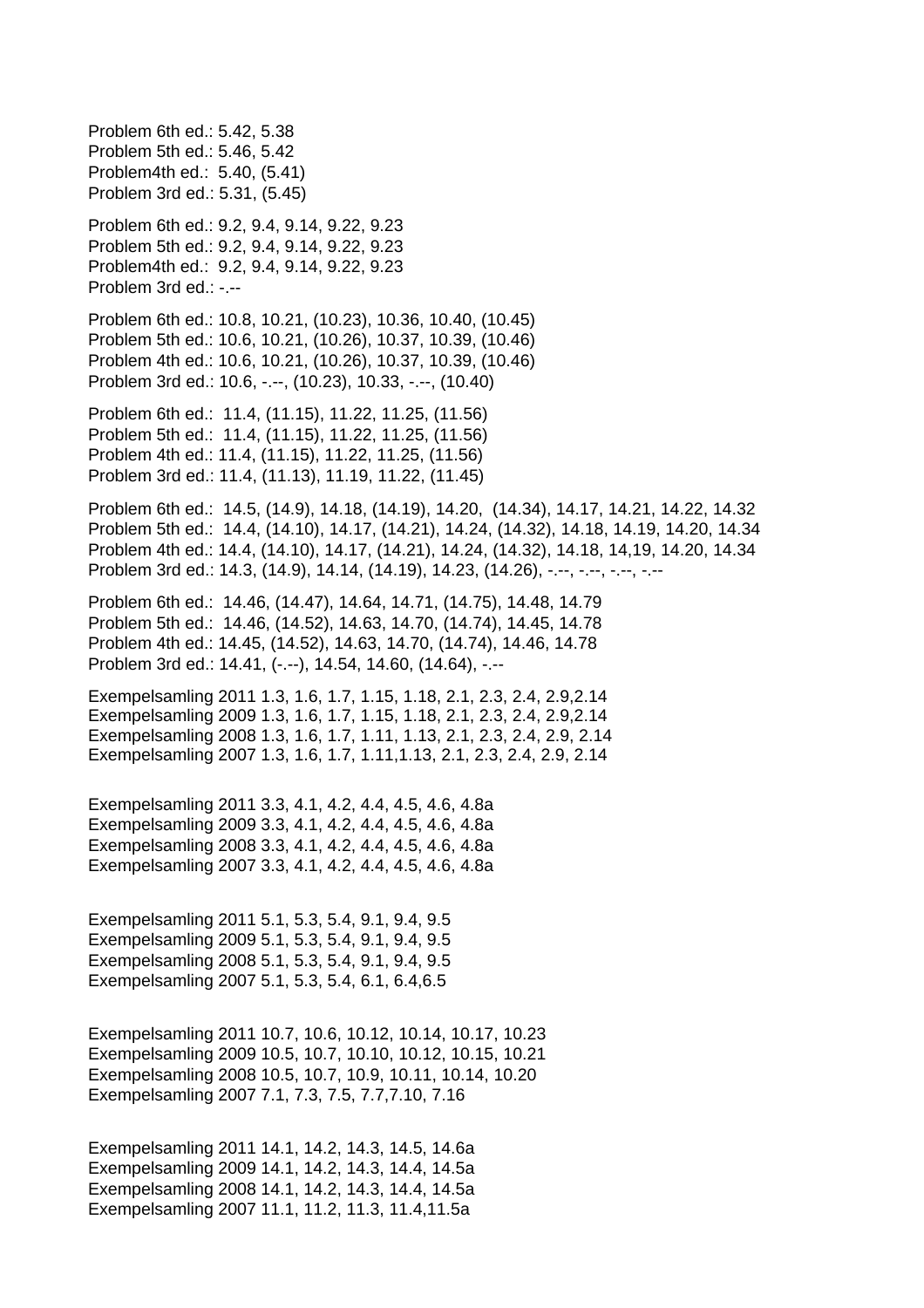Problem 6th ed.: 5.42, 5.38 Problem 5th ed.: 5.46, 5.42 Problem4th ed.: 5.40, (5.41) Problem 3rd ed.: 5.31, (5.45) Problem 6th ed.: 9.2, 9.4, 9.14, 9.22, 9.23 Problem 5th ed.: 9.2, 9.4, 9.14, 9.22, 9.23 Problem4th ed.: 9.2, 9.4, 9.14, 9.22, 9.23 Problem 3rd ed.: -.-- Problem 6th ed.: 10.8, 10.21, (10.23), 10.36, 10.40, (10.45) Problem 5th ed.: 10.6, 10.21, (10.26), 10.37, 10.39, (10.46) Problem 4th ed.: 10.6, 10.21, (10.26), 10.37, 10.39, (10.46) Problem 3rd ed.: 10.6, -.--, (10.23), 10.33, -.--, (10.40) Problem 6th ed.: 11.4, (11.15), 11.22, 11.25, (11.56) Problem 5th ed.: 11.4, (11.15), 11.22, 11.25, (11.56) Problem 4th ed.: 11.4, (11.15), 11.22, 11.25, (11.56) Problem 3rd ed.: 11.4, (11.13), 11.19, 11.22, (11.45) Problem 6th ed.: 14.5, (14.9), 14.18, (14.19), 14.20, (14.34), 14.17, 14.21, 14.22, 14.32 Problem 5th ed.: 14.4, (14.10), 14.17, (14.21), 14.24, (14.32), 14.18, 14.19, 14.20, 14.34 Problem 4th ed.: 14.4, (14.10), 14.17, (14.21), 14.24, (14.32), 14.18, 14,19, 14.20, 14.34 Problem 3rd ed.: 14.3, (14.9), 14.14, (14.19), 14.23, (14.26), -.--, -.--, -.--, -.--Problem 6th ed.: 14.46, (14.47), 14.64, 14.71, (14.75), 14.48, 14.79 Problem 5th ed.: 14.46, (14.52), 14.63, 14.70, (14.74), 14.45, 14.78 Problem 4th ed.: 14.45, (14.52), 14.63, 14.70, (14.74), 14.46, 14.78 Problem 3rd ed.: 14.41, (-.--), 14.54, 14.60, (14.64), -.--Exempelsamling 2011 1.3, 1.6, 1.7, 1.15, 1.18, 2.1, 2.3, 2.4, 2.9,2.14 Exempelsamling 2009 1.3, 1.6, 1.7, 1.15, 1.18, 2.1, 2.3, 2.4, 2.9,2.14 Exempelsamling 2008 1.3, 1.6, 1.7, 1.11, 1.13, 2.1, 2.3, 2.4, 2.9, 2.14 Exempelsamling 2007 1.3, 1.6, 1.7, 1.11,1.13, 2.1, 2.3, 2.4, 2.9, 2.14 Exempelsamling 2011 3.3, 4.1, 4.2, 4.4, 4.5, 4.6, 4.8a Exempelsamling 2009 3.3, 4.1, 4.2, 4.4, 4.5, 4.6, 4.8a Exempelsamling 2008 3.3, 4.1, 4.2, 4.4, 4.5, 4.6, 4.8a Exempelsamling 2007 3.3, 4.1, 4.2, 4.4, 4.5, 4.6, 4.8a Exempelsamling 2011 5.1, 5.3, 5.4, 9.1, 9.4, 9.5 Exempelsamling 2009 5.1, 5.3, 5.4, 9.1, 9.4, 9.5 Exempelsamling 2008 5.1, 5.3, 5.4, 9.1, 9.4, 9.5 Exempelsamling 2007 5.1, 5.3, 5.4, 6.1, 6.4,6.5 Exempelsamling 2011 10.7, 10.6, 10.12, 10.14, 10.17, 10.23 Exempelsamling 2009 10.5, 10.7, 10.10, 10.12, 10.15, 10.21 Exempelsamling 2008 10.5, 10.7, 10.9, 10.11, 10.14, 10.20 Exempelsamling 2007 7.1, 7.3, 7.5, 7.7,7.10, 7.16 Exempelsamling 2011 14.1, 14.2, 14.3, 14.5, 14.6a Exempelsamling 2009 14.1, 14.2, 14.3, 14.4, 14.5a Exempelsamling 2008 14.1, 14.2, 14.3, 14.4, 14.5a Exempelsamling 2007 11.1, 11.2, 11.3, 11.4,11.5a